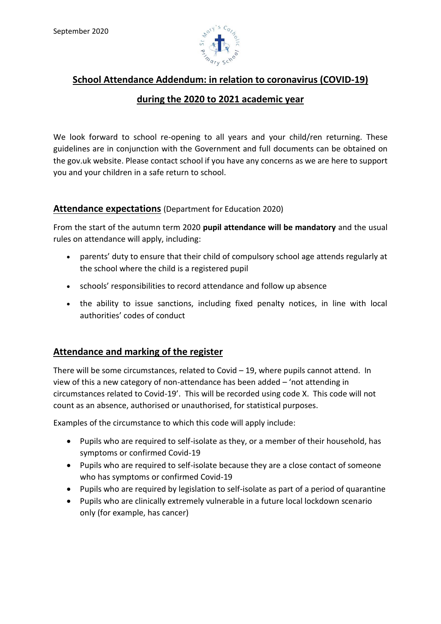

# **School Attendance Addendum: in relation to coronavirus (COVID-19)**

# **during the 2020 to 2021 academic year**

We look forward to school re-opening to all years and your child/ren returning. These guidelines are in conjunction with the Government and full documents can be obtained on the gov.uk website. Please contact school if you have any concerns as we are here to support you and your children in a safe return to school.

### **Attendance expectations** (Department for Education 2020)

From the start of the autumn term 2020 **pupil attendance will be mandatory** and the usual rules on attendance will apply, including:

- parents' duty to ensure that their child of compulsory school age attends regularly at the school where the child is a registered pupil
- schools' responsibilities to record attendance and follow up absence
- the ability to issue sanctions, including fixed penalty notices, in line with local authorities' codes of conduct

## **Attendance and marking of the register**

There will be some circumstances, related to Covid – 19, where pupils cannot attend. In view of this a new category of non-attendance has been added – 'not attending in circumstances related to Covid-19'. This will be recorded using code X. This code will not count as an absence, authorised or unauthorised, for statistical purposes.

Examples of the circumstance to which this code will apply include:

- Pupils who are required to self-isolate as they, or a member of their household, has symptoms or confirmed Covid-19
- Pupils who are required to self-isolate because they are a close contact of someone who has symptoms or confirmed Covid-19
- Pupils who are required by legislation to self-isolate as part of a period of quarantine
- Pupils who are clinically extremely vulnerable in a future local lockdown scenario only (for example, has cancer)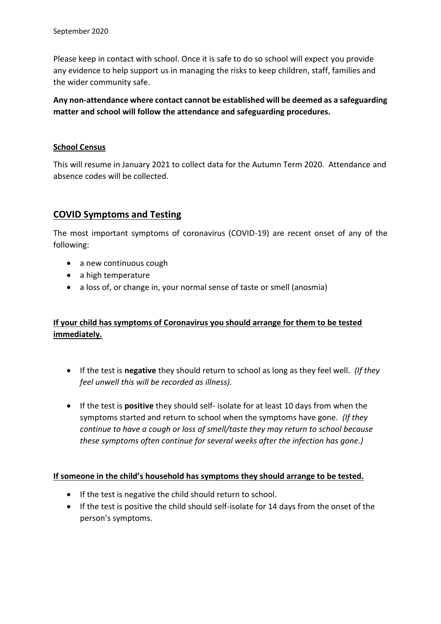Please keep in contact with school. Once it is safe to do so school will expect you provide any evidence to help support us in managing the risks to keep children, staff, families and the wider community safe.

**Any non-attendance where contact cannot be established will be deemed as a safeguarding matter and school will follow the attendance and safeguarding procedures.**

#### **School Census**

This will resume in January 2021 to collect data for the Autumn Term 2020. Attendance and absence codes will be collected.

### **COVID Symptoms and Testing**

The most important symptoms of coronavirus (COVID-19) are recent onset of any of the following:

- a new continuous cough
- a high temperature
- a loss of, or change in, your normal sense of taste or smell (anosmia)

## **If your child has symptoms of Coronavirus you should arrange for them to be tested immediately.**

- If the test is **negative** they should return to school as long as they feel well*. (If they feel unwell this will be recorded as illness).*
- If the test is **positive** they should self- isolate for at least 10 days from when the symptoms started and return to school when the symptoms have gone*. (If they continue to have a cough or loss of smell/taste they may return to school because these symptoms often continue for several weeks after the infection has gone.)*

#### **If someone in the child's household has symptoms they should arrange to be tested.**

- If the test is negative the child should return to school.
- If the test is positive the child should self-isolate for 14 days from the onset of the person's symptoms.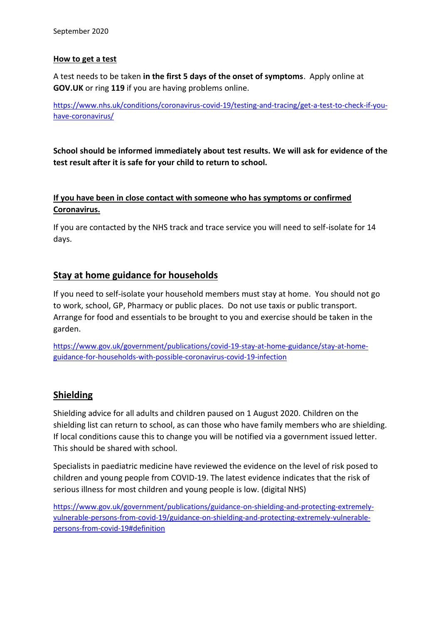#### **How to get a test**

A test needs to be taken **in the first 5 days of the onset of symptoms**. Apply online at **GOV.UK** or ring **119** if you are having problems online.

[https://www.nhs.uk/conditions/coronavirus-covid-19/testing-and-tracing/get-a-test-to-check-if-you](https://www.nhs.uk/conditions/coronavirus-covid-19/testing-and-tracing/get-a-test-to-check-if-you-have-coronavirus/)[have-coronavirus/](https://www.nhs.uk/conditions/coronavirus-covid-19/testing-and-tracing/get-a-test-to-check-if-you-have-coronavirus/)

**School should be informed immediately about test results. We will ask for evidence of the test result after it is safe for your child to return to school.** 

## **If you have been in close contact with someone who has symptoms or confirmed Coronavirus.**

If you are contacted by the NHS track and trace service you will need to self-isolate for 14 days.

## **Stay at home guidance for households**

If you need to self-isolate your household members must stay at home. You should not go to work, school, GP, Pharmacy or public places. Do not use taxis or public transport. Arrange for food and essentials to be brought to you and exercise should be taken in the garden.

[https://www.gov.uk/government/publications/covid-19-stay-at-home-guidance/stay-at-home](https://www.gov.uk/government/publications/covid-19-stay-at-home-guidance/stay-at-home-guidance-for-households-with-possible-coronavirus-covid-19-infection)[guidance-for-households-with-possible-coronavirus-covid-19-infection](https://www.gov.uk/government/publications/covid-19-stay-at-home-guidance/stay-at-home-guidance-for-households-with-possible-coronavirus-covid-19-infection)

## **Shielding**

Shielding advice for all adults and children paused on 1 August 2020. Children on the shielding list can return to school, as can those who have family members who are shielding. If local conditions cause this to change you will be notified via a government issued letter. This should be shared with school.

Specialists in paediatric medicine have reviewed the evidence on the level of risk posed to children and young people from COVID-19. The latest evidence indicates that the risk of serious illness for most children and young people is low. (digital NHS)

[https://www.gov.uk/government/publications/guidance-on-shielding-and-protecting-extremely](https://www.gov.uk/government/publications/guidance-on-shielding-and-protecting-extremely-vulnerable-persons-from-covid-19/guidance-on-shielding-and-protecting-extremely-vulnerable-persons-from-covid-19#definition)[vulnerable-persons-from-covid-19/guidance-on-shielding-and-protecting-extremely-vulnerable](https://www.gov.uk/government/publications/guidance-on-shielding-and-protecting-extremely-vulnerable-persons-from-covid-19/guidance-on-shielding-and-protecting-extremely-vulnerable-persons-from-covid-19#definition)[persons-from-covid-19#definition](https://www.gov.uk/government/publications/guidance-on-shielding-and-protecting-extremely-vulnerable-persons-from-covid-19/guidance-on-shielding-and-protecting-extremely-vulnerable-persons-from-covid-19#definition)